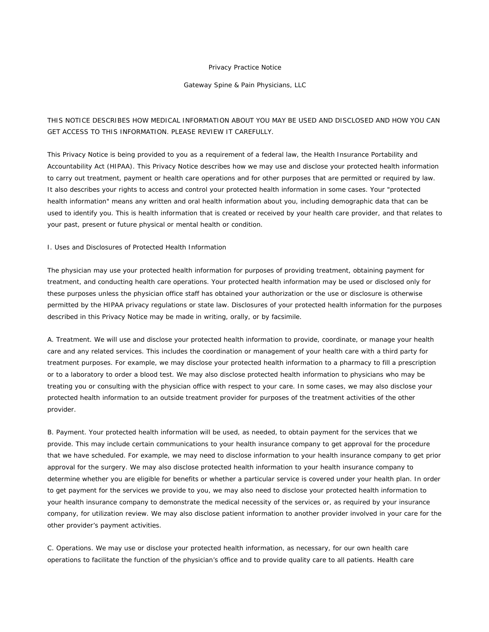#### Privacy Practice Notice

### Gateway Spine & Pain Physicians, LLC

# THIS NOTICE DESCRIBES HOW MEDICAL INFORMATION ABOUT YOU MAY BE USED AND DISCLOSED AND HOW YOU CAN GET ACCESS TO THIS INFORMATION. PLEASE REVIEW IT CAREFULLY.

This Privacy Notice is being provided to you as a requirement of a federal law, the Health Insurance Portability and Accountability Act (HIPAA). This Privacy Notice describes how we may use and disclose your protected health information to carry out treatment, payment or health care operations and for other purposes that are permitted or required by law. It also describes your rights to access and control your protected health information in some cases. Your "protected health information" means any written and oral health information about you, including demographic data that can be used to identify you. This is health information that is created or received by your health care provider, and that relates to your past, present or future physical or mental health or condition.

### I. Uses and Disclosures of Protected Health Information

The physician may use your protected health information for purposes of providing treatment, obtaining payment for treatment, and conducting health care operations. Your protected health information may be used or disclosed only for these purposes unless the physician office staff has obtained your authorization or the use or disclosure is otherwise permitted by the HIPAA privacy regulations or state law. Disclosures of your protected health information for the purposes described in this Privacy Notice may be made in writing, orally, or by facsimile.

A. Treatment. We will use and disclose your protected health information to provide, coordinate, or manage your health care and any related services. This includes the coordination or management of your health care with a third party for treatment purposes. For example, we may disclose your protected health information to a pharmacy to fill a prescription or to a laboratory to order a blood test. We may also disclose protected health information to physicians who may be treating you or consulting with the physician office with respect to your care. In some cases, we may also disclose your protected health information to an outside treatment provider for purposes of the treatment activities of the other provider.

B. Payment. Your protected health information will be used, as needed, to obtain payment for the services that we provide. This may include certain communications to your health insurance company to get approval for the procedure that we have scheduled. For example, we may need to disclose information to your health insurance company to get prior approval for the surgery. We may also disclose protected health information to your health insurance company to determine whether you are eligible for benefits or whether a particular service is covered under your health plan. In order to get payment for the services we provide to you, we may also need to disclose your protected health information to your health insurance company to demonstrate the medical necessity of the services or, as required by your insurance company, for utilization review. We may also disclose patient information to another provider involved in your care for the other provider's payment activities.

C. Operations. We may use or disclose your protected health information, as necessary, for our own health care operations to facilitate the function of the physician's office and to provide quality care to all patients. Health care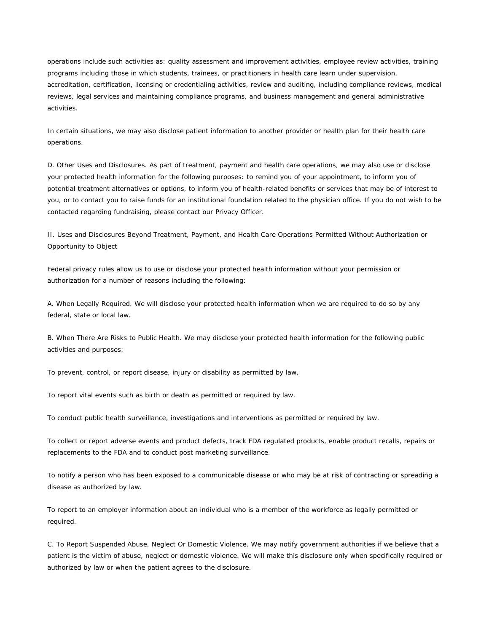operations include such activities as: quality assessment and improvement activities, employee review activities, training programs including those in which students, trainees, or practitioners in health care learn under supervision, accreditation, certification, licensing or credentialing activities, review and auditing, including compliance reviews, medical reviews, legal services and maintaining compliance programs, and business management and general administrative activities.

In certain situations, we may also disclose patient information to another provider or health plan for their health care operations.

D. Other Uses and Disclosures. As part of treatment, payment and health care operations, we may also use or disclose your protected health information for the following purposes: to remind you of your appointment, to inform you of potential treatment alternatives or options, to inform you of health-related benefits or services that may be of interest to you, or to contact you to raise funds for an institutional foundation related to the physician office. If you do not wish to be contacted regarding fundraising, please contact our Privacy Officer.

II. Uses and Disclosures Beyond Treatment, Payment, and Health Care Operations Permitted Without Authorization or Opportunity to Object

Federal privacy rules allow us to use or disclose your protected health information without your permission or authorization for a number of reasons including the following:

A. When Legally Required. We will disclose your protected health information when we are required to do so by any federal, state or local law.

B. When There Are Risks to Public Health. We may disclose your protected health information for the following public activities and purposes:

To prevent, control, or report disease, injury or disability as permitted by law.

To report vital events such as birth or death as permitted or required by law.

To conduct public health surveillance, investigations and interventions as permitted or required by law.

To collect or report adverse events and product defects, track FDA regulated products, enable product recalls, repairs or replacements to the FDA and to conduct post marketing surveillance.

To notify a person who has been exposed to a communicable disease or who may be at risk of contracting or spreading a disease as authorized by law.

To report to an employer information about an individual who is a member of the workforce as legally permitted or required.

C. To Report Suspended Abuse, Neglect Or Domestic Violence. We may notify government authorities if we believe that a patient is the victim of abuse, neglect or domestic violence. We will make this disclosure only when specifically required or authorized by law or when the patient agrees to the disclosure.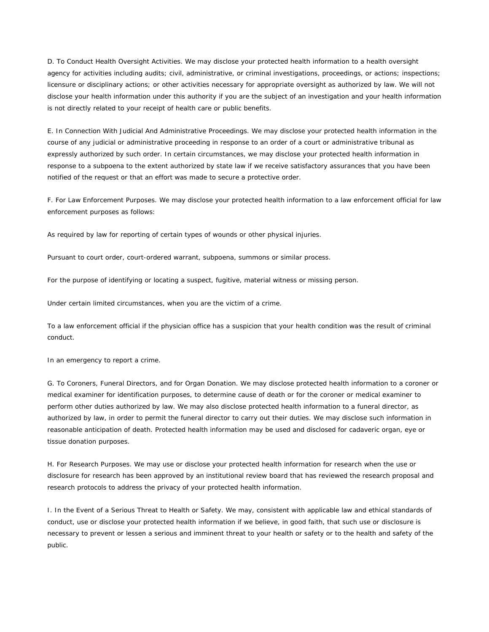D. To Conduct Health Oversight Activities. We may disclose your protected health information to a health oversight agency for activities including audits; civil, administrative, or criminal investigations, proceedings, or actions; inspections; licensure or disciplinary actions; or other activities necessary for appropriate oversight as authorized by law. We will not disclose your health information under this authority if you are the subject of an investigation and your health information is not directly related to your receipt of health care or public benefits.

E. In Connection With Judicial And Administrative Proceedings. We may disclose your protected health information in the course of any judicial or administrative proceeding in response to an order of a court or administrative tribunal as expressly authorized by such order. In certain circumstances, we may disclose your protected health information in response to a subpoena to the extent authorized by state law if we receive satisfactory assurances that you have been notified of the request or that an effort was made to secure a protective order.

F. For Law Enforcement Purposes. We may disclose your protected health information to a law enforcement official for law enforcement purposes as follows:

As required by law for reporting of certain types of wounds or other physical injuries.

Pursuant to court order, court-ordered warrant, subpoena, summons or similar process.

For the purpose of identifying or locating a suspect, fugitive, material witness or missing person.

Under certain limited circumstances, when you are the victim of a crime.

To a law enforcement official if the physician office has a suspicion that your health condition was the result of criminal conduct.

In an emergency to report a crime.

G. To Coroners, Funeral Directors, and for Organ Donation. We may disclose protected health information to a coroner or medical examiner for identification purposes, to determine cause of death or for the coroner or medical examiner to perform other duties authorized by law. We may also disclose protected health information to a funeral director, as authorized by law, in order to permit the funeral director to carry out their duties. We may disclose such information in reasonable anticipation of death. Protected health information may be used and disclosed for cadaveric organ, eye or tissue donation purposes.

H. For Research Purposes. We may use or disclose your protected health information for research when the use or disclosure for research has been approved by an institutional review board that has reviewed the research proposal and research protocols to address the privacy of your protected health information.

I. In the Event of a Serious Threat to Health or Safety. We may, consistent with applicable law and ethical standards of conduct, use or disclose your protected health information if we believe, in good faith, that such use or disclosure is necessary to prevent or lessen a serious and imminent threat to your health or safety or to the health and safety of the public.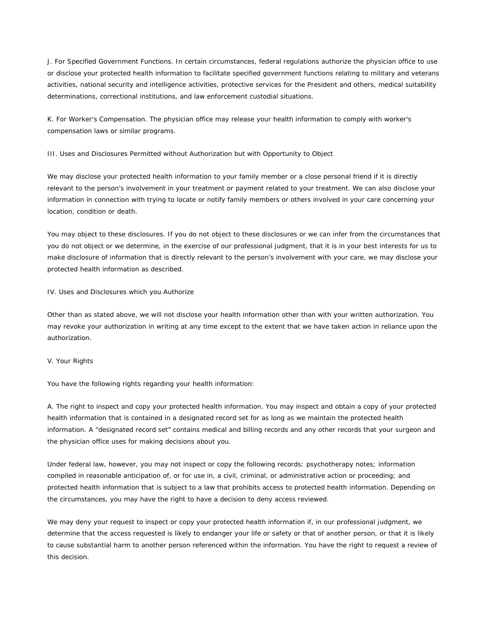J. For Specified Government Functions. In certain circumstances, federal regulations authorize the physician office to use or disclose your protected health information to facilitate specified government functions relating to military and veterans activities, national security and intelligence activities, protective services for the President and others, medical suitability determinations, correctional institutions, and law enforcement custodial situations.

K. For Worker's Compensation. The physician office may release your health information to comply with worker's compensation laws or similar programs.

III. Uses and Disclosures Permitted without Authorization but with Opportunity to Object

We may disclose your protected health information to your family member or a close personal friend if it is directly relevant to the person's involvement in your treatment or payment related to your treatment. We can also disclose your information in connection with trying to locate or notify family members or others involved in your care concerning your location, condition or death.

You may object to these disclosures. If you do not object to these disclosures or we can infer from the circumstances that you do not object or we determine, in the exercise of our professional judgment, that it is in your best interests for us to make disclosure of information that is directly relevant to the person's involvement with your care, we may disclose your protected health information as described.

IV. Uses and Disclosures which you Authorize

Other than as stated above, we will not disclose your health information other than with your written authorization. You may revoke your authorization in writing at any time except to the extent that we have taken action in reliance upon the authorization.

## V. Your Rights

You have the following rights regarding your health information:

A. The right to inspect and copy your protected health information. You may inspect and obtain a copy of your protected health information that is contained in a designated record set for as long as we maintain the protected health information. A "designated record set" contains medical and billing records and any other records that your surgeon and the physician office uses for making decisions about you.

Under federal law, however, you may not inspect or copy the following records: psychotherapy notes; information compiled in reasonable anticipation of, or for use in, a civil, criminal, or administrative action or proceeding; and protected health information that is subject to a law that prohibits access to protected health information. Depending on the circumstances, you may have the right to have a decision to deny access reviewed.

We may deny your request to inspect or copy your protected health information if, in our professional judgment, we determine that the access requested is likely to endanger your life or safety or that of another person, or that it is likely to cause substantial harm to another person referenced within the information. You have the right to request a review of this decision.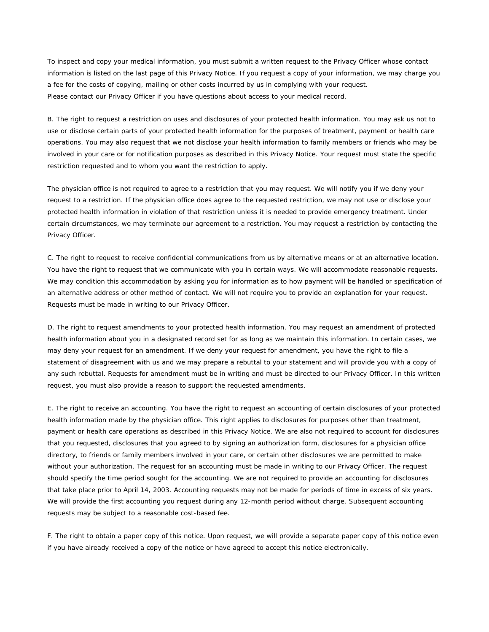To inspect and copy your medical information, you must submit a written request to the Privacy Officer whose contact information is listed on the last page of this Privacy Notice. If you request a copy of your information, we may charge you a fee for the costs of copying, mailing or other costs incurred by us in complying with your request. Please contact our Privacy Officer if you have questions about access to your medical record.

B. The right to request a restriction on uses and disclosures of your protected health information. You may ask us not to use or disclose certain parts of your protected health information for the purposes of treatment, payment or health care operations. You may also request that we not disclose your health information to family members or friends who may be involved in your care or for notification purposes as described in this Privacy Notice. Your request must state the specific restriction requested and to whom you want the restriction to apply.

The physician office is not required to agree to a restriction that you may request. We will notify you if we deny your request to a restriction. If the physician office does agree to the requested restriction, we may not use or disclose your protected health information in violation of that restriction unless it is needed to provide emergency treatment. Under certain circumstances, we may terminate our agreement to a restriction. You may request a restriction by contacting the Privacy Officer.

C. The right to request to receive confidential communications from us by alternative means or at an alternative location. You have the right to request that we communicate with you in certain ways. We will accommodate reasonable requests. We may condition this accommodation by asking you for information as to how payment will be handled or specification of an alternative address or other method of contact. We will not require you to provide an explanation for your request. Requests must be made in writing to our Privacy Officer.

D. The right to request amendments to your protected health information. You may request an amendment of protected health information about you in a designated record set for as long as we maintain this information. In certain cases, we may deny your request for an amendment. If we deny your request for amendment, you have the right to file a statement of disagreement with us and we may prepare a rebuttal to your statement and will provide you with a copy of any such rebuttal. Requests for amendment must be in writing and must be directed to our Privacy Officer. In this written request, you must also provide a reason to support the requested amendments.

E. The right to receive an accounting. You have the right to request an accounting of certain disclosures of your protected health information made by the physician office. This right applies to disclosures for purposes other than treatment, payment or health care operations as described in this Privacy Notice. We are also not required to account for disclosures that you requested, disclosures that you agreed to by signing an authorization form, disclosures for a physician office directory, to friends or family members involved in your care, or certain other disclosures we are permitted to make without your authorization. The request for an accounting must be made in writing to our Privacy Officer. The request should specify the time period sought for the accounting. We are not required to provide an accounting for disclosures that take place prior to April 14, 2003. Accounting requests may not be made for periods of time in excess of six years. We will provide the first accounting you request during any 12-month period without charge. Subsequent accounting requests may be subject to a reasonable cost-based fee.

F. The right to obtain a paper copy of this notice. Upon request, we will provide a separate paper copy of this notice even if you have already received a copy of the notice or have agreed to accept this notice electronically.